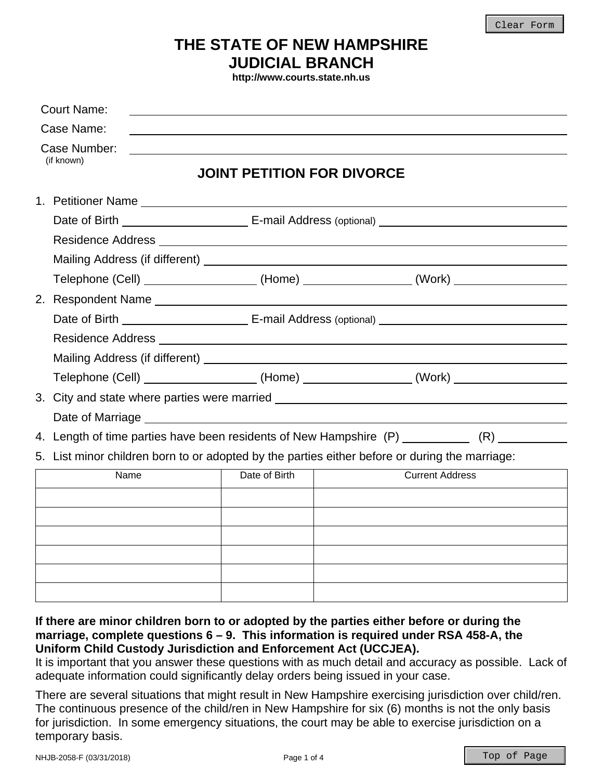Clear Form

## **THE STATE OF NEW HAMPSHIRE JUDICIAL BRANCH**

**http://www.courts.state.nh.us** 

| <b>Court Name:</b>         |                                                                                                |                                                                                                |  |  |
|----------------------------|------------------------------------------------------------------------------------------------|------------------------------------------------------------------------------------------------|--|--|
| Case Name:                 |                                                                                                |                                                                                                |  |  |
| Case Number:<br>(if known) | <b>JOINT PETITION FOR DIVORCE</b>                                                              |                                                                                                |  |  |
|                            |                                                                                                |                                                                                                |  |  |
|                            |                                                                                                |                                                                                                |  |  |
|                            |                                                                                                |                                                                                                |  |  |
|                            |                                                                                                |                                                                                                |  |  |
|                            |                                                                                                | Telephone (Cell) ___________________(Home) ________________(Work) ______________               |  |  |
| 2. Respondent Name         |                                                                                                |                                                                                                |  |  |
|                            |                                                                                                |                                                                                                |  |  |
|                            |                                                                                                |                                                                                                |  |  |
|                            |                                                                                                |                                                                                                |  |  |
|                            |                                                                                                | Telephone (Cell) ___________________(Home) ________________(Work) ______________               |  |  |
|                            |                                                                                                | 3. City and state where parties were married ___________________________________               |  |  |
|                            |                                                                                                |                                                                                                |  |  |
|                            |                                                                                                | 4. Length of time parties have been residents of New Hampshire (P) ____________ (R) __________ |  |  |
|                            | 5. List minor children born to or adopted by the parties either before or during the marriage: |                                                                                                |  |  |
| Name                       | Date of Birth                                                                                  | <b>Current Address</b>                                                                         |  |  |
|                            |                                                                                                |                                                                                                |  |  |
|                            |                                                                                                |                                                                                                |  |  |
|                            |                                                                                                |                                                                                                |  |  |
|                            |                                                                                                |                                                                                                |  |  |
|                            |                                                                                                |                                                                                                |  |  |
|                            |                                                                                                |                                                                                                |  |  |

**marriage, complete questions 6 – 9. This information is required under RSA 458-A, the Uniform Child Custody Jurisdiction and Enforcement Act (UCCJEA).** 

It is important that you answer these questions with as much detail and accuracy as possible. Lack of adequate information could significantly delay orders being issued in your case.

There are several situations that might result in New Hampshire exercising jurisdiction over child/ren. The continuous presence of the child/ren in New Hampshire for six (6) months is not the only basis for jurisdiction. In some emergency situations, the court may be able to exercise jurisdiction on a temporary basis.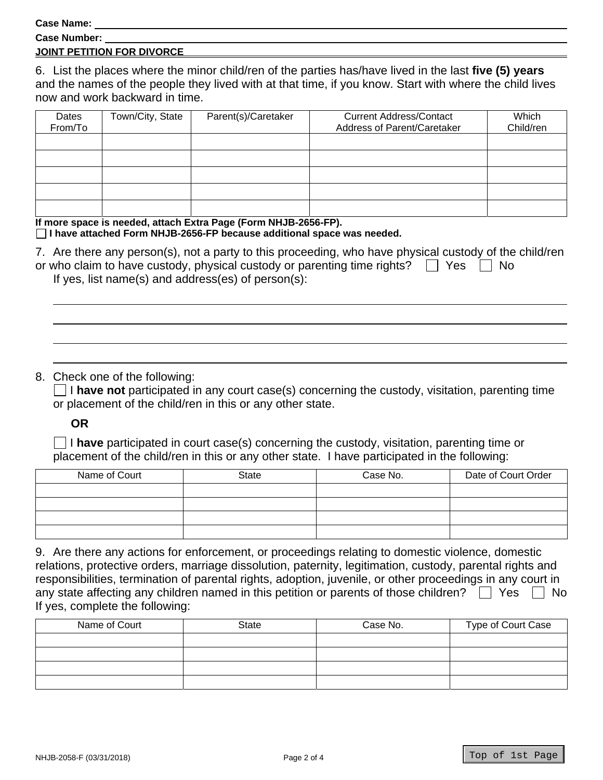**Case Name:** 

| --------------      |  |
|---------------------|--|
| <b>Case Number:</b> |  |

## **JOINT PETITION FOR DIVORCE**

6. List the places where the minor child/ren of the parties has/have lived in the last **five (5) years** and the names of the people they lived with at that time, if you know. Start with where the child lives now and work backward in time.

| Dates<br>From/To | Town/City, State | Parent(s)/Caretaker | <b>Current Address/Contact</b><br>Address of Parent/Caretaker | Which<br>Child/ren |
|------------------|------------------|---------------------|---------------------------------------------------------------|--------------------|
|                  |                  |                     |                                                               |                    |
|                  |                  |                     |                                                               |                    |
|                  |                  |                     |                                                               |                    |
|                  |                  |                     |                                                               |                    |
|                  |                  |                     |                                                               |                    |

**If more space is needed, attach Extra Page (Form NHJB-2656-FP). I have attached Form NHJB-2656-FP because additional space was needed.** 

| 7. Are there any person(s), not a party to this proceeding, who have physical custody of the child/ren |
|--------------------------------------------------------------------------------------------------------|
| or who claim to have custody, physical custody or parenting time rights? $\Box$ Yes $\Box$ No          |
| If yes, list name(s) and address(es) of $person(s)$ :                                                  |

## 8. Check one of the following:

 I **have not** participated in any court case(s) concerning the custody, visitation, parenting time or placement of the child/ren in this or any other state.

**OR**

 I **have** participated in court case(s) concerning the custody, visitation, parenting time or placement of the child/ren in this or any other state. I have participated in the following:

| Name of Court | State | Case No. | Date of Court Order |
|---------------|-------|----------|---------------------|
|               |       |          |                     |
|               |       |          |                     |
|               |       |          |                     |
|               |       |          |                     |

| 9. Are there any actions for enforcement, or proceedings relating to domestic violence, domestic           |
|------------------------------------------------------------------------------------------------------------|
| relations, protective orders, marriage dissolution, paternity, legitimation, custody, parental rights and  |
| responsibilities, termination of parental rights, adoption, juvenile, or other proceedings in any court in |
| any state affecting any children named in this petition or parents of those children? $\Box$ Yes<br>IINo   |
| If yes, complete the following:                                                                            |

| Name of Court | <b>State</b> | Case No. | Type of Court Case |
|---------------|--------------|----------|--------------------|
|               |              |          |                    |
|               |              |          |                    |
|               |              |          |                    |
|               |              |          |                    |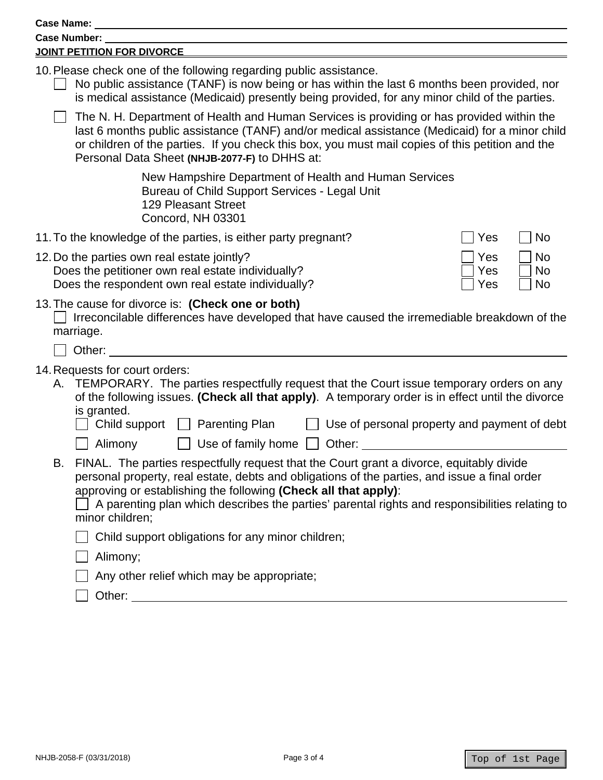| <b>Case Name:</b>                                                                                                                                                                                                                                                                                                                                                                                                                         |
|-------------------------------------------------------------------------------------------------------------------------------------------------------------------------------------------------------------------------------------------------------------------------------------------------------------------------------------------------------------------------------------------------------------------------------------------|
| Case Number:                                                                                                                                                                                                                                                                                                                                                                                                                              |
| JOINT PETITION FOR DIVORCE                                                                                                                                                                                                                                                                                                                                                                                                                |
| 10. Please check one of the following regarding public assistance.<br>No public assistance (TANF) is now being or has within the last 6 months been provided, nor<br>is medical assistance (Medicaid) presently being provided, for any minor child of the parties.                                                                                                                                                                       |
| The N. H. Department of Health and Human Services is providing or has provided within the<br>last 6 months public assistance (TANF) and/or medical assistance (Medicaid) for a minor child<br>or children of the parties. If you check this box, you must mail copies of this petition and the<br>Personal Data Sheet (NHJB-2077-F) to DHHS at:                                                                                           |
| New Hampshire Department of Health and Human Services<br>Bureau of Child Support Services - Legal Unit<br><b>129 Pleasant Street</b><br>Concord, NH 03301                                                                                                                                                                                                                                                                                 |
| 11. To the knowledge of the parties, is either party pregnant?<br>No<br>Yes                                                                                                                                                                                                                                                                                                                                                               |
| 12. Do the parties own real estate jointly?<br><b>No</b><br>Yes<br>Does the petitioner own real estate individually?<br><b>No</b><br>Yes<br>Does the respondent own real estate individually?<br>No<br>Yes                                                                                                                                                                                                                                |
| 13. The cause for divorce is: (Check one or both)<br>Irreconcilable differences have developed that have caused the irremediable breakdown of the<br>marriage.<br>Other:                                                                                                                                                                                                                                                                  |
|                                                                                                                                                                                                                                                                                                                                                                                                                                           |
| 14. Requests for court orders:<br>A. TEMPORARY. The parties respectfully request that the Court issue temporary orders on any<br>of the following issues. (Check all that apply). A temporary order is in effect until the divorce<br>is granted.<br>Child support<br><b>Parenting Plan</b><br>Use of personal property and payment of debt                                                                                               |
| Use of family home $\Box$<br>Alimony<br>Other:<br>FINAL. The parties respectfully request that the Court grant a divorce, equitably divide<br>В.<br>personal property, real estate, debts and obligations of the parties, and issue a final order<br>approving or establishing the following (Check all that apply):<br>A parenting plan which describes the parties' parental rights and responsibilities relating to<br>minor children; |
| Child support obligations for any minor children;                                                                                                                                                                                                                                                                                                                                                                                         |
| Alimony;                                                                                                                                                                                                                                                                                                                                                                                                                                  |
| Any other relief which may be appropriate;                                                                                                                                                                                                                                                                                                                                                                                                |
|                                                                                                                                                                                                                                                                                                                                                                                                                                           |
|                                                                                                                                                                                                                                                                                                                                                                                                                                           |